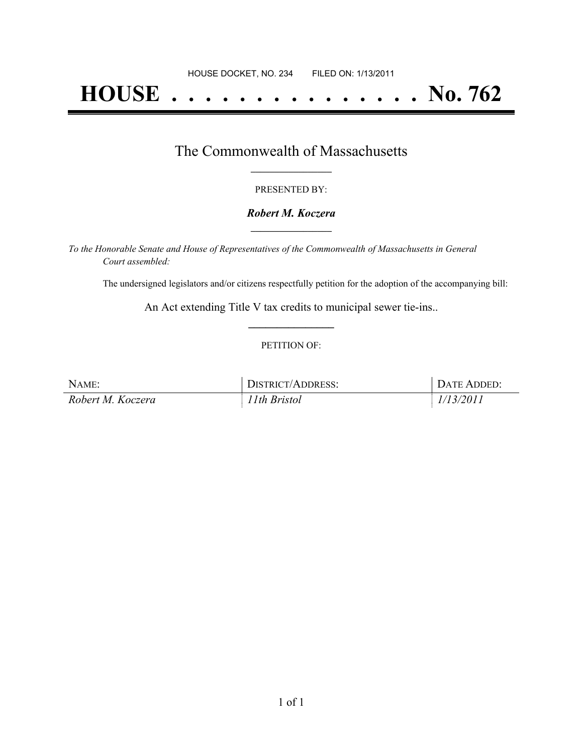# **HOUSE . . . . . . . . . . . . . . . No. 762**

## The Commonwealth of Massachusetts **\_\_\_\_\_\_\_\_\_\_\_\_\_\_\_\_\_**

#### PRESENTED BY:

#### *Robert M. Koczera* **\_\_\_\_\_\_\_\_\_\_\_\_\_\_\_\_\_**

*To the Honorable Senate and House of Representatives of the Commonwealth of Massachusetts in General Court assembled:*

The undersigned legislators and/or citizens respectfully petition for the adoption of the accompanying bill:

An Act extending Title V tax credits to municipal sewer tie-ins.. **\_\_\_\_\_\_\_\_\_\_\_\_\_\_\_**

#### PETITION OF:

| NAME:             | DISTRICT/ADDRESS: | DATE ADDED: |
|-------------------|-------------------|-------------|
| Robert M. Koczera | 11th Bristol      | 1/13/2011   |